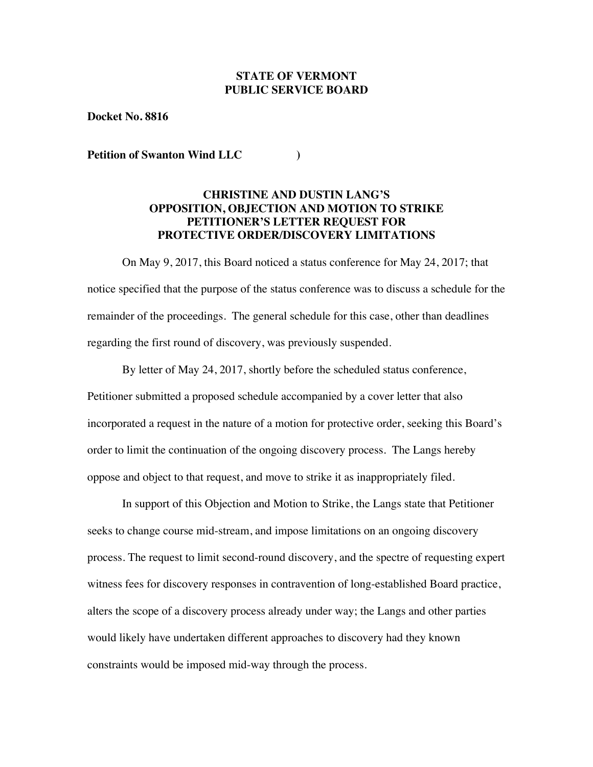# **STATE OF VERMONT PUBLIC SERVICE BOARD**

**Docket No. 8816**

**Petition of Swanton Wind LLC )**

## **CHRISTINE AND DUSTIN LANG'S OPPOSITION, OBJECTION AND MOTION TO STRIKE PETITIONER'S LETTER REQUEST FOR PROTECTIVE ORDER/DISCOVERY LIMITATIONS**

On May 9, 2017, this Board noticed a status conference for May 24, 2017; that notice specified that the purpose of the status conference was to discuss a schedule for the remainder of the proceedings. The general schedule for this case, other than deadlines regarding the first round of discovery, was previously suspended.

By letter of May 24, 2017, shortly before the scheduled status conference, Petitioner submitted a proposed schedule accompanied by a cover letter that also incorporated a request in the nature of a motion for protective order, seeking this Board's order to limit the continuation of the ongoing discovery process. The Langs hereby oppose and object to that request, and move to strike it as inappropriately filed.

In support of this Objection and Motion to Strike, the Langs state that Petitioner seeks to change course mid-stream, and impose limitations on an ongoing discovery process. The request to limit second-round discovery, and the spectre of requesting expert witness fees for discovery responses in contravention of long-established Board practice, alters the scope of a discovery process already under way; the Langs and other parties would likely have undertaken different approaches to discovery had they known constraints would be imposed mid-way through the process.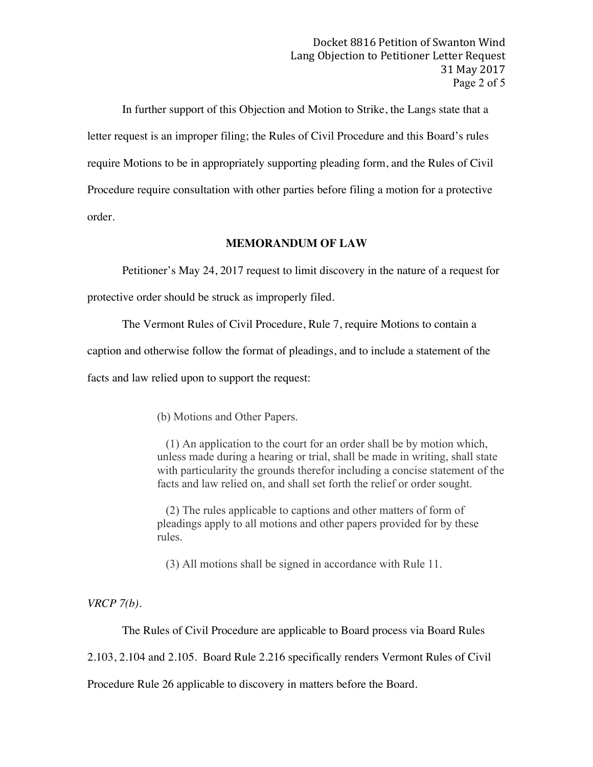In further support of this Objection and Motion to Strike, the Langs state that a letter request is an improper filing; the Rules of Civil Procedure and this Board's rules require Motions to be in appropriately supporting pleading form, and the Rules of Civil Procedure require consultation with other parties before filing a motion for a protective order.

#### **MEMORANDUM OF LAW**

Petitioner's May 24, 2017 request to limit discovery in the nature of a request for protective order should be struck as improperly filed.

The Vermont Rules of Civil Procedure, Rule 7, require Motions to contain a

caption and otherwise follow the format of pleadings, and to include a statement of the

facts and law relied upon to support the request:

(b) Motions and Other Papers.

(1) An application to the court for an order shall be by motion which, unless made during a hearing or trial, shall be made in writing, shall state with particularity the grounds therefor including a concise statement of the facts and law relied on, and shall set forth the relief or order sought.

(2) The rules applicable to captions and other matters of form of pleadings apply to all motions and other papers provided for by these rules.

(3) All motions shall be signed in accordance with Rule 11.

*VRCP 7(b).*

The Rules of Civil Procedure are applicable to Board process via Board Rules

2.103, 2.104 and 2.105. Board Rule 2.216 specifically renders Vermont Rules of Civil

Procedure Rule 26 applicable to discovery in matters before the Board.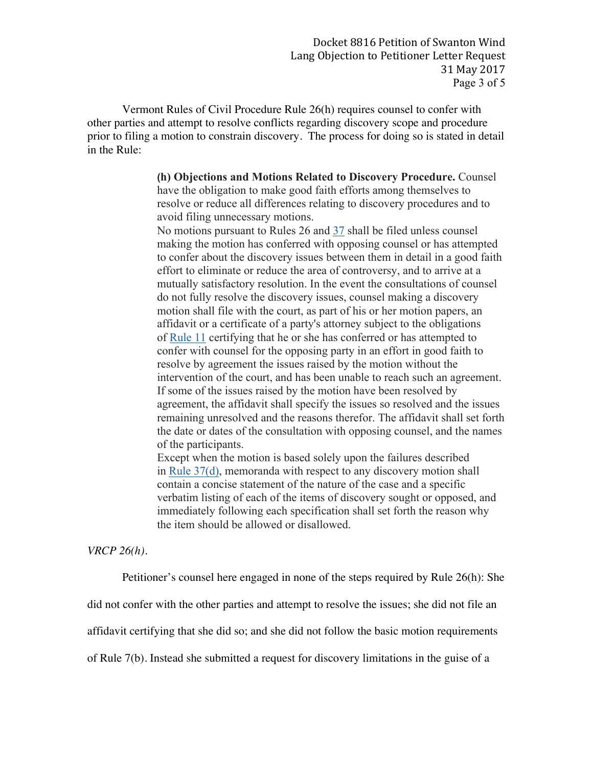Vermont Rules of Civil Procedure Rule 26(h) requires counsel to confer with other parties and attempt to resolve conflicts regarding discovery scope and procedure prior to filing a motion to constrain discovery. The process for doing so is stated in detail in the Rule:

> **(h) Objections and Motions Related to Discovery Procedure.** Counsel have the obligation to make good faith efforts among themselves to resolve or reduce all differences relating to discovery procedures and to avoid filing unnecessary motions.

No motions pursuant to Rules 26 and 37 shall be filed unless counsel making the motion has conferred with opposing counsel or has attempted to confer about the discovery issues between them in detail in a good faith effort to eliminate or reduce the area of controversy, and to arrive at a mutually satisfactory resolution. In the event the consultations of counsel do not fully resolve the discovery issues, counsel making a discovery motion shall file with the court, as part of his or her motion papers, an affidavit or a certificate of a party's attorney subject to the obligations of Rule 11 certifying that he or she has conferred or has attempted to confer with counsel for the opposing party in an effort in good faith to resolve by agreement the issues raised by the motion without the intervention of the court, and has been unable to reach such an agreement. If some of the issues raised by the motion have been resolved by agreement, the affidavit shall specify the issues so resolved and the issues remaining unresolved and the reasons therefor. The affidavit shall set forth the date or dates of the consultation with opposing counsel, and the names of the participants.

Except when the motion is based solely upon the failures described in Rule 37(d), memoranda with respect to any discovery motion shall contain a concise statement of the nature of the case and a specific verbatim listing of each of the items of discovery sought or opposed, and immediately following each specification shall set forth the reason why the item should be allowed or disallowed.

# *VRCP 26(h).*

Petitioner's counsel here engaged in none of the steps required by Rule 26(h): She

did not confer with the other parties and attempt to resolve the issues; she did not file an

affidavit certifying that she did so; and she did not follow the basic motion requirements

of Rule 7(b). Instead she submitted a request for discovery limitations in the guise of a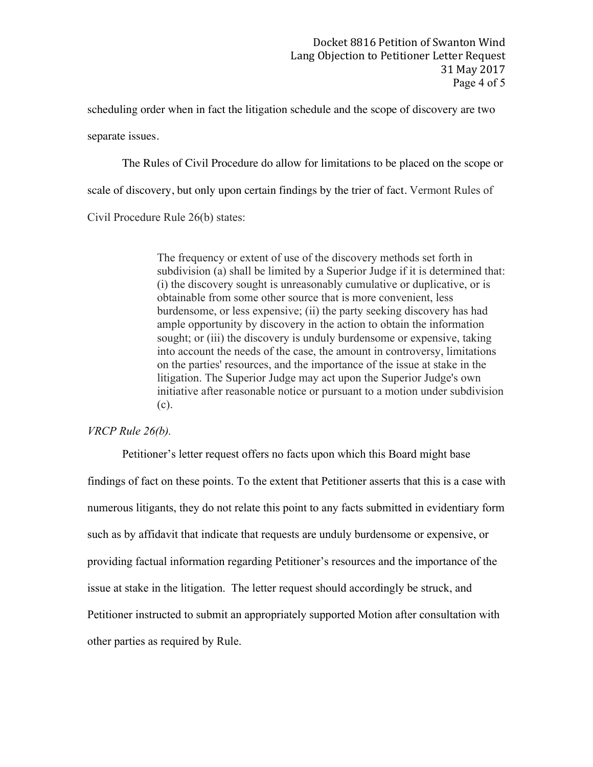scheduling order when in fact the litigation schedule and the scope of discovery are two separate issues.

The Rules of Civil Procedure do allow for limitations to be placed on the scope or scale of discovery, but only upon certain findings by the trier of fact. Vermont Rules of

Civil Procedure Rule 26(b) states:

The frequency or extent of use of the discovery methods set forth in subdivision (a) shall be limited by a Superior Judge if it is determined that: (i) the discovery sought is unreasonably cumulative or duplicative, or is obtainable from some other source that is more convenient, less burdensome, or less expensive; (ii) the party seeking discovery has had ample opportunity by discovery in the action to obtain the information sought; or (iii) the discovery is unduly burdensome or expensive, taking into account the needs of the case, the amount in controversy, limitations on the parties' resources, and the importance of the issue at stake in the litigation. The Superior Judge may act upon the Superior Judge's own initiative after reasonable notice or pursuant to a motion under subdivision (c).

## *VRCP Rule 26(b).*

Petitioner's letter request offers no facts upon which this Board might base findings of fact on these points. To the extent that Petitioner asserts that this is a case with numerous litigants, they do not relate this point to any facts submitted in evidentiary form such as by affidavit that indicate that requests are unduly burdensome or expensive, or providing factual information regarding Petitioner's resources and the importance of the issue at stake in the litigation. The letter request should accordingly be struck, and Petitioner instructed to submit an appropriately supported Motion after consultation with other parties as required by Rule.